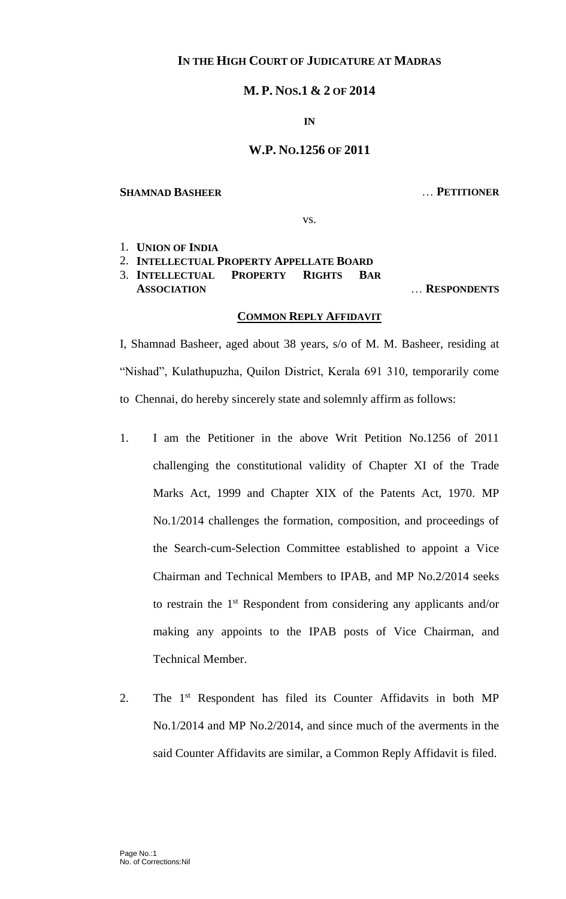# **IN THE HIGH COURT OF JUDICATURE AT MADRAS**

# **M. P. NOS.1 & 2 OF 2014**

#### **IN**

### **W.P. NO.1256 OF 2011**

#### **SHAMNAD BASHEER** … **PETITIONER**

vs.

1. **UNION OF INDIA**

2. **INTELLECTUAL PROPERTY APPELLATE BOARD**

3. **INTELLECTUAL PROPERTY RIGHTS BAR** 

**ASSOCIATION** … **RESPONDENTS**

# **COMMON REPLY AFFIDAVIT**

I, Shamnad Basheer, aged about 38 years, s/o of M. M. Basheer, residing at "Nishad", Kulathupuzha, Quilon District, Kerala 691 310, temporarily come to Chennai, do hereby sincerely state and solemnly affirm as follows:

- 1. I am the Petitioner in the above Writ Petition No.1256 of 2011 challenging the constitutional validity of Chapter XI of the Trade Marks Act, 1999 and Chapter XIX of the Patents Act, 1970. MP No.1/2014 challenges the formation, composition, and proceedings of the Search-cum-Selection Committee established to appoint a Vice Chairman and Technical Members to IPAB, and MP No.2/2014 seeks to restrain the 1<sup>st</sup> Respondent from considering any applicants and/or making any appoints to the IPAB posts of Vice Chairman, and Technical Member.
- 2. The 1<sup>st</sup> Respondent has filed its Counter Affidavits in both MP No.1/2014 and MP No.2/2014, and since much of the averments in the said Counter Affidavits are similar, a Common Reply Affidavit is filed.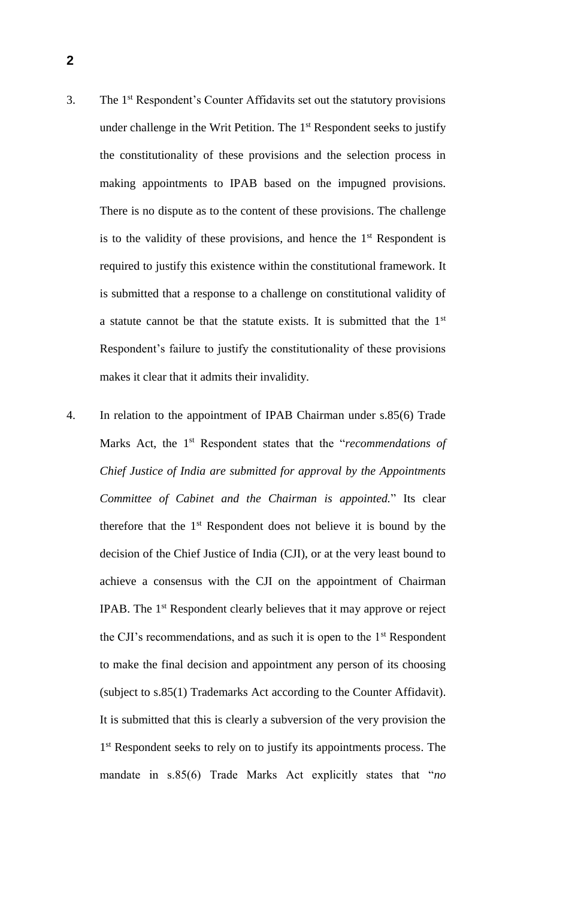- 3. The 1st Respondent's Counter Affidavits set out the statutory provisions under challenge in the Writ Petition. The 1<sup>st</sup> Respondent seeks to justify the constitutionality of these provisions and the selection process in making appointments to IPAB based on the impugned provisions. There is no dispute as to the content of these provisions. The challenge is to the validity of these provisions, and hence the  $1<sup>st</sup>$  Respondent is required to justify this existence within the constitutional framework. It is submitted that a response to a challenge on constitutional validity of a statute cannot be that the statute exists. It is submitted that the 1<sup>st</sup> Respondent's failure to justify the constitutionality of these provisions makes it clear that it admits their invalidity.
- 4. In relation to the appointment of IPAB Chairman under s.85(6) Trade Marks Act, the 1<sup>st</sup> Respondent states that the "*recommendations of Chief Justice of India are submitted for approval by the Appointments Committee of Cabinet and the Chairman is appointed.*" Its clear therefore that the  $1<sup>st</sup>$  Respondent does not believe it is bound by the decision of the Chief Justice of India (CJI), or at the very least bound to achieve a consensus with the CJI on the appointment of Chairman IPAB. The 1st Respondent clearly believes that it may approve or reject the CJI's recommendations, and as such it is open to the 1<sup>st</sup> Respondent to make the final decision and appointment any person of its choosing (subject to s.85(1) Trademarks Act according to the Counter Affidavit). It is submitted that this is clearly a subversion of the very provision the 1<sup>st</sup> Respondent seeks to rely on to justify its appointments process. The mandate in s.85(6) Trade Marks Act explicitly states that "*no*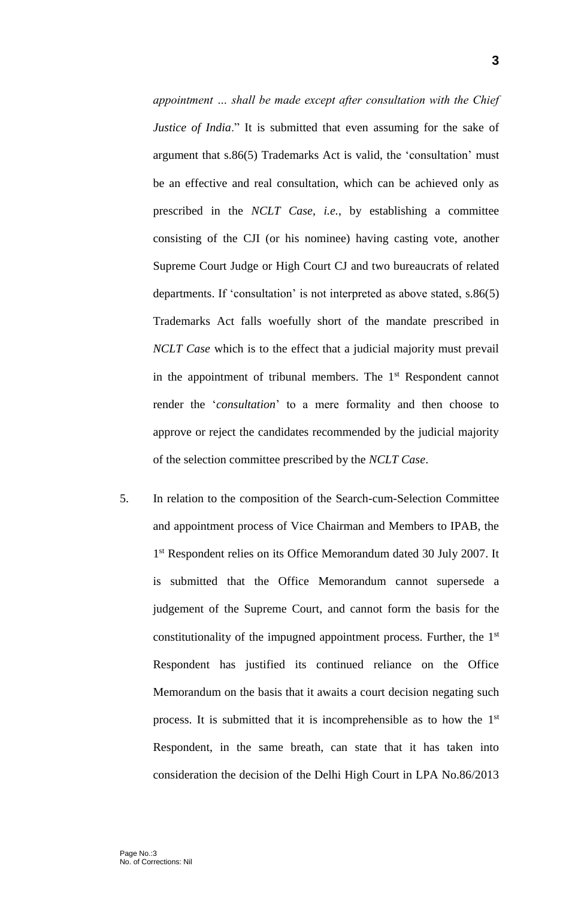*appointment … shall be made except after consultation with the Chief Justice of India*." It is submitted that even assuming for the sake of argument that s.86(5) Trademarks Act is valid, the 'consultation' must be an effective and real consultation, which can be achieved only as prescribed in the *NCLT Case, i.e.*, by establishing a committee consisting of the CJI (or his nominee) having casting vote, another Supreme Court Judge or High Court CJ and two bureaucrats of related departments. If 'consultation' is not interpreted as above stated, s.86(5) Trademarks Act falls woefully short of the mandate prescribed in *NCLT Case* which is to the effect that a judicial majority must prevail in the appointment of tribunal members. The 1<sup>st</sup> Respondent cannot render the '*consultation*' to a mere formality and then choose to approve or reject the candidates recommended by the judicial majority of the selection committee prescribed by the *NCLT Case*.

5. In relation to the composition of the Search-cum-Selection Committee and appointment process of Vice Chairman and Members to IPAB, the 1<sup>st</sup> Respondent relies on its Office Memorandum dated 30 July 2007. It is submitted that the Office Memorandum cannot supersede a judgement of the Supreme Court, and cannot form the basis for the constitutionality of the impugned appointment process. Further, the 1st Respondent has justified its continued reliance on the Office Memorandum on the basis that it awaits a court decision negating such process. It is submitted that it is incomprehensible as to how the 1<sup>st</sup> Respondent, in the same breath, can state that it has taken into consideration the decision of the Delhi High Court in LPA No.86/2013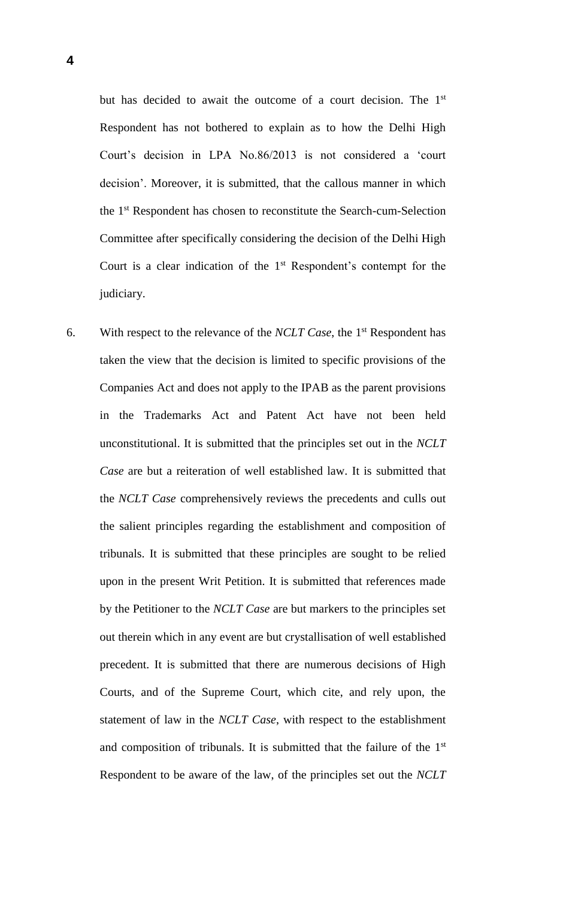but has decided to await the outcome of a court decision. The 1<sup>st</sup> Respondent has not bothered to explain as to how the Delhi High Court's decision in LPA No.86/2013 is not considered a 'court decision'. Moreover, it is submitted, that the callous manner in which the 1st Respondent has chosen to reconstitute the Search-cum-Selection Committee after specifically considering the decision of the Delhi High Court is a clear indication of the  $1<sup>st</sup>$  Respondent's contempt for the judiciary.

6. With respect to the relevance of the *NCLT Case*, the 1st Respondent has taken the view that the decision is limited to specific provisions of the Companies Act and does not apply to the IPAB as the parent provisions in the Trademarks Act and Patent Act have not been held unconstitutional. It is submitted that the principles set out in the *NCLT Case* are but a reiteration of well established law. It is submitted that the *NCLT Case* comprehensively reviews the precedents and culls out the salient principles regarding the establishment and composition of tribunals. It is submitted that these principles are sought to be relied upon in the present Writ Petition. It is submitted that references made by the Petitioner to the *NCLT Case* are but markers to the principles set out therein which in any event are but crystallisation of well established precedent. It is submitted that there are numerous decisions of High Courts, and of the Supreme Court, which cite, and rely upon, the statement of law in the *NCLT Case*, with respect to the establishment and composition of tribunals. It is submitted that the failure of the 1<sup>st</sup> Respondent to be aware of the law, of the principles set out the *NCLT*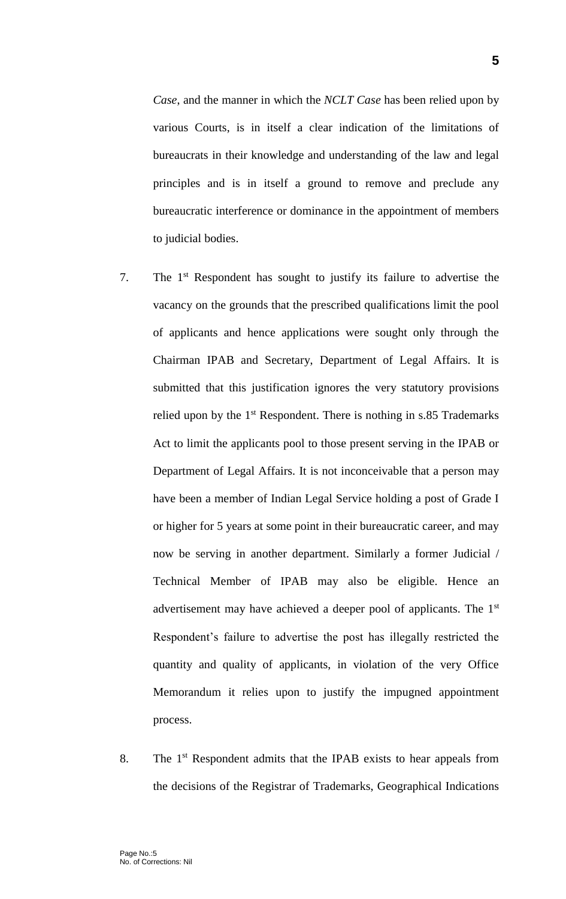*Case*, and the manner in which the *NCLT Case* has been relied upon by various Courts, is in itself a clear indication of the limitations of bureaucrats in their knowledge and understanding of the law and legal principles and is in itself a ground to remove and preclude any

bureaucratic interference or dominance in the appointment of members

to judicial bodies.

- 7. The 1st Respondent has sought to justify its failure to advertise the vacancy on the grounds that the prescribed qualifications limit the pool of applicants and hence applications were sought only through the Chairman IPAB and Secretary, Department of Legal Affairs. It is submitted that this justification ignores the very statutory provisions relied upon by the  $1<sup>st</sup>$  Respondent. There is nothing in s.85 Trademarks Act to limit the applicants pool to those present serving in the IPAB or Department of Legal Affairs. It is not inconceivable that a person may have been a member of Indian Legal Service holding a post of Grade I or higher for 5 years at some point in their bureaucratic career, and may now be serving in another department. Similarly a former Judicial / Technical Member of IPAB may also be eligible. Hence an advertisement may have achieved a deeper pool of applicants. The 1st Respondent's failure to advertise the post has illegally restricted the quantity and quality of applicants, in violation of the very Office Memorandum it relies upon to justify the impugned appointment process.
- 8. The 1<sup>st</sup> Respondent admits that the IPAB exists to hear appeals from the decisions of the Registrar of Trademarks, Geographical Indications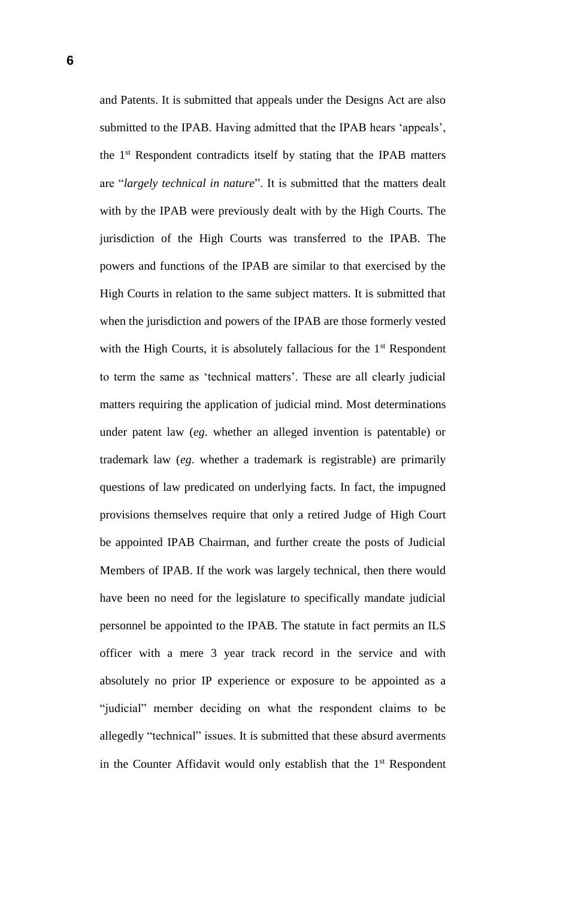and Patents. It is submitted that appeals under the Designs Act are also submitted to the IPAB. Having admitted that the IPAB hears 'appeals', the 1st Respondent contradicts itself by stating that the IPAB matters are "*largely technical in nature*". It is submitted that the matters dealt with by the IPAB were previously dealt with by the High Courts. The jurisdiction of the High Courts was transferred to the IPAB. The powers and functions of the IPAB are similar to that exercised by the High Courts in relation to the same subject matters. It is submitted that when the jurisdiction and powers of the IPAB are those formerly vested with the High Courts, it is absolutely fallacious for the  $1<sup>st</sup>$  Respondent to term the same as 'technical matters'. These are all clearly judicial matters requiring the application of judicial mind. Most determinations under patent law (*eg*. whether an alleged invention is patentable) or trademark law (*eg*. whether a trademark is registrable) are primarily questions of law predicated on underlying facts. In fact, the impugned provisions themselves require that only a retired Judge of High Court be appointed IPAB Chairman, and further create the posts of Judicial Members of IPAB. If the work was largely technical, then there would have been no need for the legislature to specifically mandate judicial personnel be appointed to the IPAB. The statute in fact permits an ILS officer with a mere 3 year track record in the service and with absolutely no prior IP experience or exposure to be appointed as a "judicial" member deciding on what the respondent claims to be allegedly "technical" issues. It is submitted that these absurd averments in the Counter Affidavit would only establish that the 1<sup>st</sup> Respondent